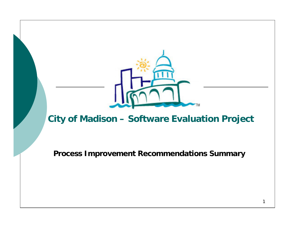

## **City of Madison – Software Evaluation Project**

**Process Improvement Recommendations Summary**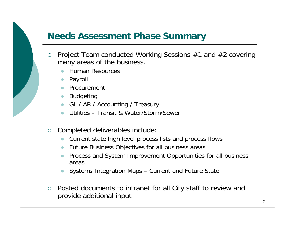## **Needs Assessment Phase Summary**

- ${\circ}$  Project Team conducted Working Sessions #1 and #2 covering many areas of the business.
	- zHuman Resources
	- Payroll
	- Procurement
	- **•** Budgeting
	- GL / AR / Accounting / Treasury
	- zUtilities – Transit & Water/Storm/Sewer
- ${\circ}$  Completed deliverables include:
	- $\bullet$ Current state high level process lists and process flows
	- $\bullet$ Future Business Objectives for all business areas
	- $\bullet$  Process and System Improvement Opportunities for all business areas
	- zSystems Integration Maps – Current and Future State
- $\circ$  Posted documents to intranet for all City staff to review and provide additional input